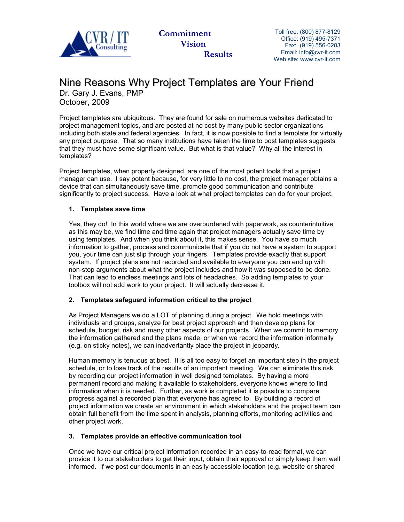

 **Commitment Vision Results** Toll free: (800) 877-8129 Office: (919) 495-7371 Fax: (919) 556-0283 Email: info@cvr-it.com Web site: www.cvr-it.com

## Nine Reasons Why Project Templates are Your Friend

Dr. Gary J. Evans, PMP October, 2009

Project templates are ubiquitous. They are found for sale on numerous websites dedicated to project management topics, and are posted at no cost by many public sector organizations including both state and federal agencies. In fact, it is now possible to find a template for virtually any project purpose. That so many institutions have taken the time to post templates suggests that they must have some significant value. But what is that value? Why all the interest in templates?

Project templates, when properly designed, are one of the most potent tools that a project manager can use. I say potent because, for very little to no cost, the project manager obtains a device that can simultaneously save time, promote good communication and contribute significantly to project success. Have a look at what project templates can do for your project.

### **1. Templates save time**

Yes, they do! In this world where we are overburdened with paperwork, as counterintuitive as this may be, we find time and time again that project managers actually save time by using templates. And when you think about it, this makes sense. You have so much information to gather, process and communicate that if you do not have a system to support you, your time can just slip through your fingers. Templates provide exactly that support system. If project plans are not recorded and available to everyone you can end up with non-stop arguments about what the project includes and how it was supposed to be done. That can lead to endless meetings and lots of headaches. So adding templates to your toolbox will not add work to your project. It will actually decrease it.

#### **2. Templates safeguard information critical to the project**

As Project Managers we do a LOT of planning during a project. We hold meetings with individuals and groups, analyze for best project approach and then develop plans for schedule, budget, risk and many other aspects of our projects. When we commit to memory the information gathered and the plans made, or when we record the information informally (e.g. on sticky notes), we can inadvertantly place the project in jeopardy.

Human memory is tenuous at best. It is all too easy to forget an important step in the project schedule, or to lose track of the results of an important meeting. We can eliminate this risk by recording our project information in well designed templates. By having a more permanent record and making it available to stakeholders, everyone knows where to find information when it is needed. Further, as work is completed it is possible to compare progress against a recorded plan that everyone has agreed to. By building a record of project information we create an environment in which stakeholders and the project team can obtain full benefit from the time spent in analysis, planning efforts, monitoring activities and other project work.

#### **3. Templates provide an effective communication tool**

Once we have our critical project information recorded in an easy-to-read format, we can provide it to our stakeholders to get their input, obtain their approval or simply keep them well informed. If we post our documents in an easily accessible location (e.g. website or shared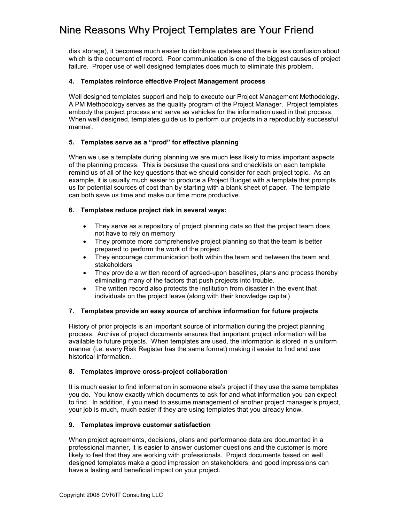# Nine Reasons Why Project Templates are Your Friend

disk storage), it becomes much easier to distribute updates and there is less confusion about which is the document of record. Poor communication is one of the biggest causes of project failure. Proper use of well designed templates does much to eliminate this problem.

#### **4. Templates reinforce effective Project Management process**

Well designed templates support and help to execute our Project Management Methodology. A PM Methodology serves as the quality program of the Project Manager. Project templates embody the project process and serve as vehicles for the information used in that process. When well designed, templates guide us to perform our projects in a reproducibly successful manner.

#### **5. Templates serve as a "prod" for effective planning**

When we use a template during planning we are much less likely to miss important aspects of the planning process. This is because the questions and checklists on each template remind us of all of the key questions that we should consider for each project topic. As an example, it is usually much easier to produce a Project Budget with a template that prompts us for potential sources of cost than by starting with a blank sheet of paper. The template can both save us time and make our time more productive.

#### **6. Templates reduce project risk in several ways:**

- They serve as a repository of project planning data so that the project team does not have to rely on memory
- They promote more comprehensive project planning so that the team is better prepared to perform the work of the project
- They encourage communication both within the team and between the team and stakeholders
- They provide a written record of agreed-upon baselines, plans and process thereby eliminating many of the factors that push projects into trouble.
- The written record also protects the institution from disaster in the event that individuals on the project leave (along with their knowledge capital)

#### **7. Templates provide an easy source of archive information for future projects**

History of prior projects is an important source of information during the project planning process. Archive of project documents ensures that important project information will be available to future projects. When templates are used, the information is stored in a uniform manner (i.e. every Risk Register has the same format) making it easier to find and use historical information.

#### **8. Templates improve cross-project collaboration**

It is much easier to find information in someone else's project if they use the same templates you do. You know exactly which documents to ask for and what information you can expect to find. In addition, if you need to assume management of another project manager's project, your job is much, much easier if they are using templates that you already know.

#### **9. Templates improve customer satisfaction**

When project agreements, decisions, plans and performance data are documented in a professional manner, it is easier to answer customer questions and the customer is more likely to feel that they are working with professionals. Project documents based on well designed templates make a good impression on stakeholders, and good impressions can have a lasting and beneficial impact on your project.